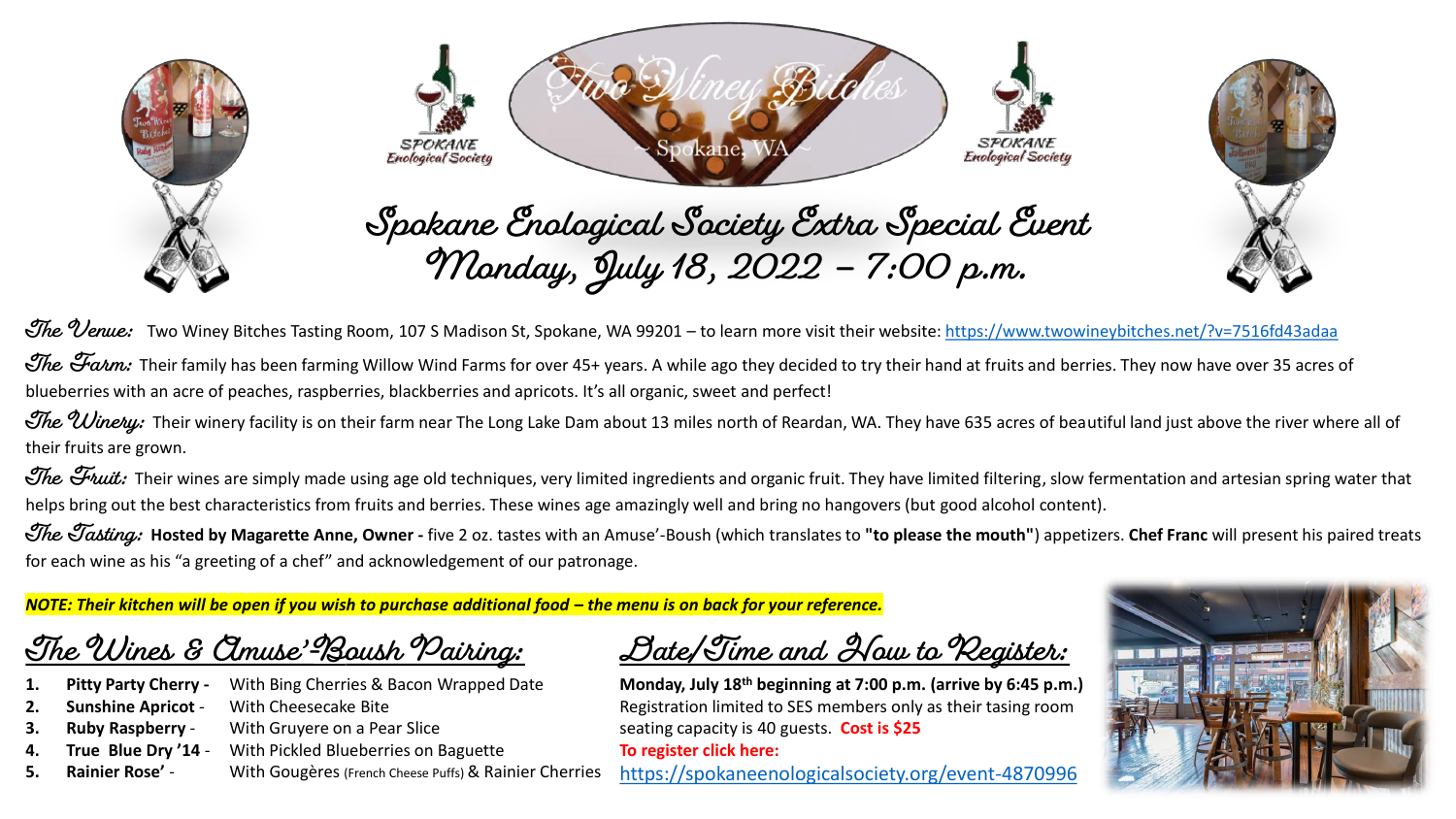





The Venue: Two Winey Bitches Tasting Room, 107 S Madison St, Spokane, WA 99201 – to learn more visit their website:<https://www.twowineybitches.net/?v=7516fd43adaa>

The Farm: Their family has been farming Willow Wind Farms for over 45+ years. A while ago they decided to try their hand at fruits and berries. They now have over 35 acres of blueberries with an acre of peaches, raspberries, blackberries and apricots. It's all organic, sweet and perfect!

The Uinetu: Their winery facility is on their farm near The Long Lake Dam about 13 miles north of Reardan, WA. They have 635 acres of beautiful land just above the river where all of their fruits are grown.

The Fruit: Their wines are simply made using age old techniques, very limited ingredients and organic fruit. They have limited filtering, slow fermentation and artesian spring water that helps bring out the best characteristics from fruits and berries. These wines age amazingly well and bring no hangovers (but good alcohol content).

The Tasting: Hosted by Magarette Anne, Owner - five 2 oz. tastes with an Amuse'-Boush (which translates to "to please the mouth") appetizers. Chef Franc will present his paired treats for each wine as his "a greeting of a chef" and acknowledgement of our patronage.

*NOTE: Their kitchen will be open if you wish to purchase additional food – the menu is on back for your reference.* 

**The Wines & Amuse'-Boush Pairing:**

- **1. Pitty Party Cherry -** With Bing Cherries & Bacon Wrapped Date
- **2. Sunshine Apricot** With Cheesecake Bite
- **3. Ruby Raspberry** With Gruyere on a Pear Slice
- **4. True Blue Dry '14**  With Pickled Blueberries on Baguette
- **5. Rainier Rose'** With Gougères (French Cheese Puffs) & Rainier Cherries

**Date/Time and How to Register:**

**Monday, July 18th beginning at 7:00 p.m. (arrive by 6:45 p.m.)** Registration limited to SES members only as their tasing room seating capacity is 40 guests. **Cost is \$25 To register click here:** 

<https://spokaneenologicalsociety.org/event-4870996>